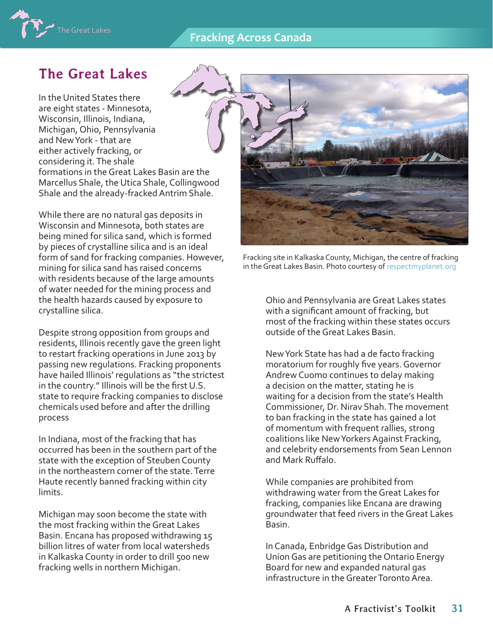## **Fracking Across Canada**



# **The Great Lakes**

In the United States there are eight states - Minnesota, Wisconsin, Illinois, Indiana, Michigan, Ohio, Pennsylvania and New York - that are either actively fracking, or considering it. The shale formations in the Great Lakes Basin are the Marcellus Shale, the Utica Shale, Collingwood Shale and the already-fracked Antrim Shale.

While there are no natural gas deposits in Wisconsin and Minnesota, both states are being mined for silica sand, which is formed by pieces of crystalline silica and is an ideal form of sand for fracking companies. However, mining for silica sand has raised concerns with residents because of the large amounts of water needed for the mining process and the health hazards caused by exposure to crystalline silica.

Despite strong opposition from groups and residents, Illinois recently gave the green light to restart fracking operations in June 2013 by passing new regulations. Fracking proponents have hailed Illinois' regulations as "the strictest in the country." Illinois will be the first U.S. state to require fracking companies to disclose chemicals used before and after the drilling process

In Indiana, most of the fracking that has occurred has been in the southern part of the state with the exception of Steuben County in the northeastern corner of the state. Terre Haute recently banned fracking within city limits.

Michigan may soon become the state with the most fracking within the Great Lakes Basin. Encana has proposed withdrawing 15 billion litres of water from local watersheds in Kalkaska County in order to drill 500 new fracking wells in northern Michigan.



Fracking site in Kalkaska County, Michigan, the centre of fracking in the Great Lakes Basin. Photo courtesy of [respectmyplanet.org](http://respectmyplanet.org)

Ohio and Pennsylvania are Great Lakes states with a significant amount of fracking, but most of the fracking within these states occurs outside of the Great Lakes Basin.

New York State has had a de facto fracking moratorium for roughly five years. Governor Andrew Cuomo continues to delay making a decision on the matter, stating he is waiting for a decision from the state's Health Commissioner, Dr. Nirav Shah. The movement to ban fracking in the state has gained a lot of momentum with frequent rallies, strong coalitions like New Yorkers Against Fracking, and celebrity endorsements from Sean Lennon and Mark Ruffalo.

While companies are prohibited from withdrawing water from the Great Lakes for fracking, companies like Encana are drawing groundwater that feed rivers in the Great Lakes Basin.

In Canada, Enbridge Gas Distribution and Union Gas are petitioning the Ontario Energy Board for new and expanded natural gas infrastructure in the Greater Toronto Area.